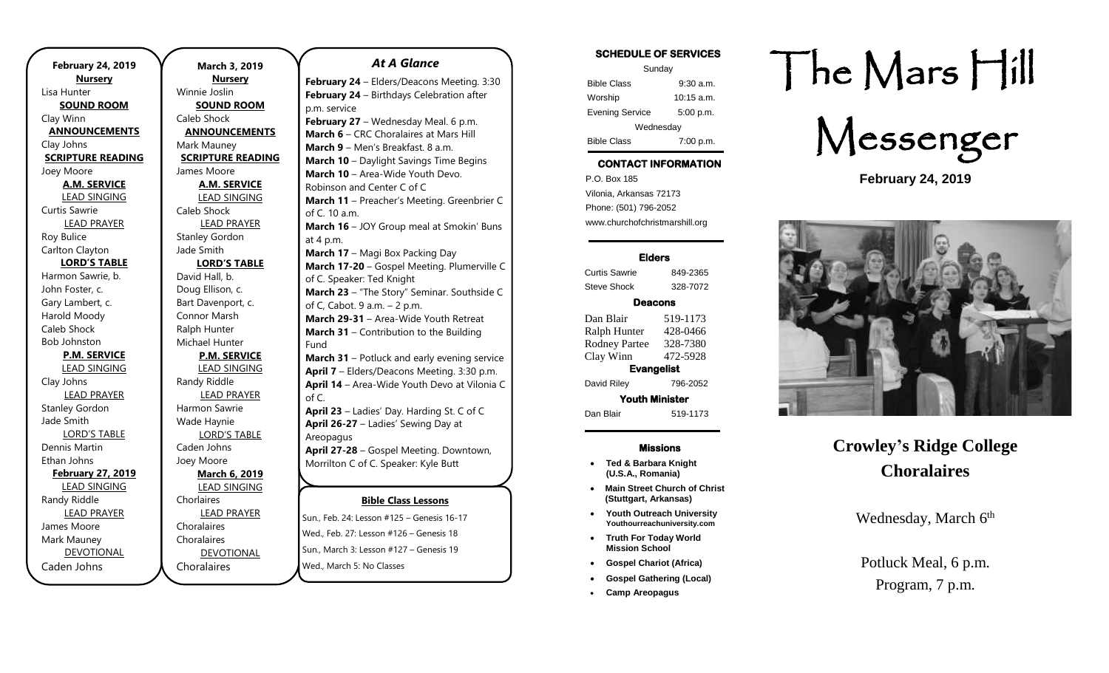**February 24, 2019 Nursery** Lisa Hunter **SOUND ROOM** Clay Winn **ANNOUNCEMENTS** Clay Johns **SCRIPTURE READING** Joey Moore **A.M. SERVICE** LEAD SINGING Curtis Sawrie LEAD PRAYER Roy Bulice Carlton Clayton **LORD'S TABLE** Harmon Sawrie, b. John Foster, c. Gary Lambert, c. Harold Moody Caleb Shock Bob Johnston **P.M. SERVICE** LEAD SINGING Clay Johns LEAD PRAYER Stanley Gordon Jade Smith LORD'S TABLE Dennis Martin Ethan Johns **February 27, 2019** LEAD SINGING Randy Riddle LEAD PRAYER James Moore Mark Mauney DEVOTIONAL Caden Johns

**March 3, 2019 Nursery** Winnie Joslin **SOUND ROOM** Caleb Shock **ANNOUNCEMENTS** Mark Mauney **SCRIPTURE READING** James Moore **A.M. SERVICE** LEAD SINGING Caleb Shock LEAD PRAYER Stanley Gordon Jade Smith **LORD'S TABLE** David Hall, b. Doug Ellison, c. Bart Davenport, c. Connor Marsh Ralph Hunter Michael Hunter **P.M. SERVICE** LEAD SINGING Randy Riddle LEAD PRAYER Harmon Sawrie Wade Haynie LORD'S TABLE Caden Johns Joey Moore **March 6, 2019** LEAD SINGING Chorlaires LEAD PRAYER Choralaires Choralaires DEVOTIONAL

Choralaires

#### *At A Glance*

**February 24** – Elders/Deacons Meeting. 3:30 **February 24** – Birthdays Celebration after p.m. service **February 27** – Wednesday Meal. 6 p.m. **March 6** – CRC Choralaires at Mars Hill **March 9** – Men's Breakfast. 8 a.m. **March 10** – Daylight Savings Time Begins **March 10** – Area-Wide Youth Devo. Robinson and Center C of C **March 11** – Preacher's Meeting. Greenbrier C of C. 10 a.m. **March 16** – JOY Group meal at Smokin' Buns at 4 p.m. **March 17** – Magi Box Packing Day **March 17-20** – Gospel Meeting. Plumerville C of C. Speaker: Ted Knight **March 23** – "The Story" Seminar. Southside C of C, Cabot. 9 a.m. – 2 p.m. **March 29-31** – Area-Wide Youth Retreat **March 31** – Contribution to the Building Fund **March 31** – Potluck and early evening service **April 7** – Elders/Deacons Meeting. 3:30 p.m. **April 14** – Area-Wide Youth Devo at Vilonia C of C. **April 23** – Ladies' Day. Harding St. C of C **April 26-27** – Ladies' Sewing Day at **Areopagus April 27-28** – Gospel Meeting. Downtown, Morrilton C of C. Speaker: Kyle Butt **April 27** – Singing. Devil's Fork Park, Higden.

### **Bible Class Lessons**

Sun., Feb. 24: Lesson #125 - Genesis 16-17 Wed., Feb. 27: Lesson #126 – Genesis 18 sun., March 3: Lesson #127 – Genesis 19 Wed., March 5: No Classes

### **SCHEDULE OF SERVICES**  Sunday Bible Class 9:30 a.m. Worship 10:15 a.m.

Evening Service 5:00 p.m. Wednesday Bible Class 7:00 p.m.

## **CONTACT INFORMATION**

. .o. Box 166<br>Vilonia, Arkansas 72173 P.O. Box 185 Phone: (501) 796-2052 www.churchofchristmarshill.org

### **Elders**

Curtis Sawrie 849-2365 Steve Shock 328-7072

### **Deacons**

Dan Blair 519-1173 Ralph Hunter 428-0466 Rodney Partee 328-7380 Clay Winn 472-5928 **Evangelist** 

David Riley 796-2052 **Youth Minister** 

Dan Blair 519-1173

### **Missions**

- **Ted & Barbara Knight (U.S.A., Romania)**
- **Main Street Church of Christ (Stuttgart, Arkansas)**
- **Youth Outreach University Youthourreachuniversity.com**
- **Truth For Today World Mission School**
- **Gospel Chariot (Africa)**
- **Gospel Gathering (Local)**
- **Camp Areopagus**

# The Mars Hill



**February 24, 2019**



## **Crowley's Ridge College Choralaires**

Wednesday, March 6<sup>th</sup>

## Potluck Meal, 6 p.m. Program, 7 p.m.